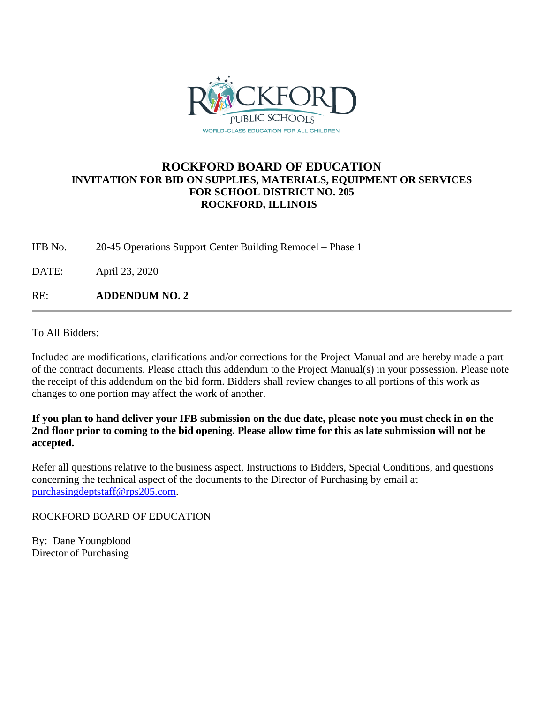

## **ROCKFORD BOARD OF EDUCATION INVITATION FOR BID ON SUPPLIES, MATERIALS, EQUIPMENT OR SERVICES FOR SCHOOL DISTRICT NO. 205 ROCKFORD, ILLINOIS**

IFB No. 20-45 Operations Support Center Building Remodel – Phase 1

DATE: April 23, 2020

RE: **ADDENDUM NO. 2**

To All Bidders:

Included are modifications, clarifications and/or corrections for the Project Manual and are hereby made a part of the contract documents. Please attach this addendum to the Project Manual(s) in your possession. Please note the receipt of this addendum on the bid form. Bidders shall review changes to all portions of this work as changes to one portion may affect the work of another.

**If you plan to hand deliver your IFB submission on the due date, please note you must check in on the 2nd floor prior to coming to the bid opening. Please allow time for this as late submission will not be accepted.**

Refer all questions relative to the business aspect, Instructions to Bidders, Special Conditions, and questions concerning the technical aspect of the documents to the Director of Purchasing by email at [purchasingdeptstaff@rps205.com.](mailto:purchasingdeptstaff@rps205.com)

ROCKFORD BOARD OF EDUCATION

By: Dane Youngblood Director of Purchasing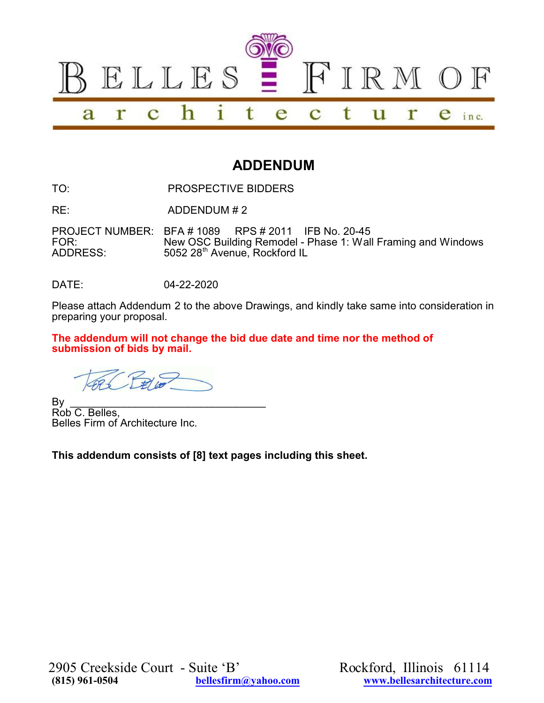

# **ADDENDUM**

TO: PROSPECTIVE BIDDERS

RE: ADDENDUM # 2

PROJECT NUMBER: BFA # 1089 RPS # 2011 IFB No. 20-45 New OSC Building Remodel - Phase 1: Wall Framing and Windows ADDRESS: 5052 28<sup>th</sup> Avenue, Rockford IL

DATE: 04-22-2020

Please attach Addendum 2 to the above Drawings, and kindly take same into consideration in preparing your proposal.

**The addendum will not change the bid due date and time nor the method of submission of bids by mail.**

By \_\_\_\_\_\_\_\_\_\_\_\_\_\_\_\_\_\_\_\_\_\_\_\_\_\_\_\_\_\_\_\_\_ Rob C. Belles, Belles Firm of Architecture Inc.

**This addendum consists of [8] text pages including this sheet.**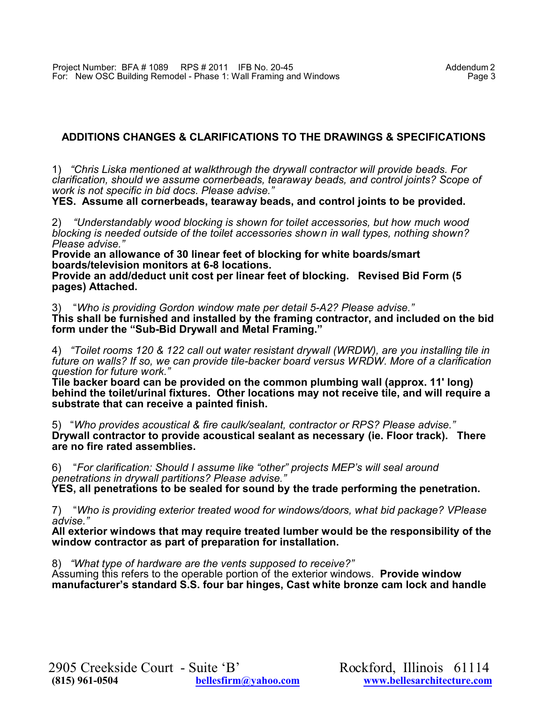## **ADDITIONS CHANGES & CLARIFICATIONS TO THE DRAWINGS & SPECIFICATIONS**

1) *"Chris Liska mentioned at walkthrough the drywall contractor will provide beads. For clarification, should we assume cornerbeads, tearaway beads, and control joints? Scope of work is not specific in bid docs. Please advise."*

**YES. Assume all cornerbeads, tearaway beads, and control joints to be provided.**

2) *"Understandably wood blocking is shown for toilet accessories, but how much wood blocking is needed outside of the toilet accessories shown in wall types, nothing shown? Please advise."*

**Provide an allowance of 30 linear feet of blocking for white boards/smart boards/television monitors at 6-8 locations.**

**Provide an add/deduct unit cost per linear feet of blocking. Revised Bid Form (5 pages) Attached.**

3) "*Who is providing Gordon window mate per detail 5-A2? Please advise."*

**This shall be furnished and installed by the framing contractor, and included on the bid form under the "Sub-Bid Drywall and Metal Framing."**

4) *"Toilet rooms 120 & 122 call out water resistant drywall (WRDW), are you installing tile in future on walls? If so, we can provide tile-backer board versus WRDW. More of a clarification question for future work."*

**Tile backer board can be provided on the common plumbing wall (approx. 11' long) behind the toilet/urinal fixtures. Other locations may not receive tile, and will require a substrate that can receive a painted finish.**

5) "*Who provides acoustical & fire caulk/sealant, contractor or RPS? Please advise."* **Drywall contractor to provide acoustical sealant as necessary (ie. Floor track). There are no fire rated assemblies.**

6) "*For clarification: Should I assume like "other" projects MEP's will seal around penetrations in drywall partitions? Please advise."*

**YES, all penetrations to be sealed for sound by the trade performing the penetration.**

7) "*Who is providing exterior treated wood for windows/doors, what bid package? VPlease advise."*

**All exterior windows that may require treated lumber would be the responsibility of the window contractor as part of preparation for installation.**

8) *"What type of hardware are the vents supposed to receive?"*

Assuming this refers to the operable portion of the exterior windows. **Provide window manufacturer's standard S.S. four bar hinges, Cast white bronze cam lock and handle**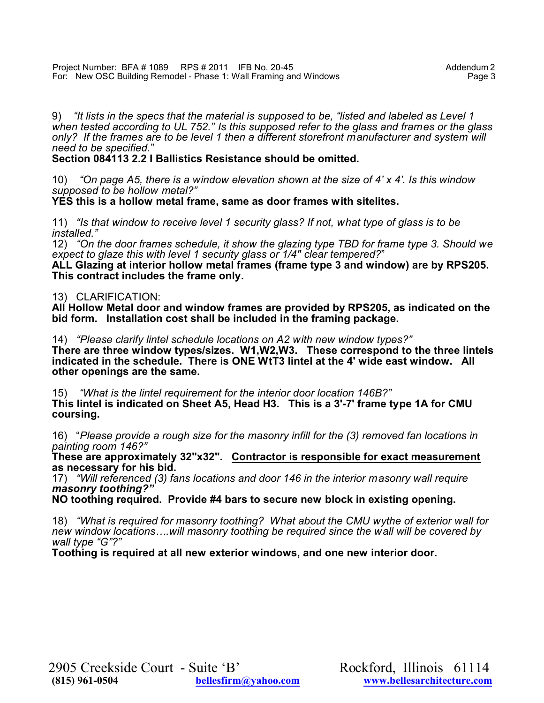9) *"It lists in the specs that the material is supposed to be, "listed and labeled as Level 1* when tested according to UL 752." Is this supposed refer to the glass and frames or the glass *only? If the frames are to be level 1 then a different storefront manufacturer and system will need to be specified.*"

### **Section 084113 2.2 I Ballistics Resistance should be omitted.**

10) *"On page A5, there is a window elevation shown at the size of 4' x 4'. Is this window supposed to be hollow metal?"*

**YES this is a hollow metal frame, same as door frames with sitelites.**

11) *"Is that window to receive level 1 security glass? If not, what type of glass is to be installed."*

12) *"On the door frames schedule, it show the glazing type TBD for frame type 3. Should we expect to glaze this with level 1 security glass or 1/4" clear tempered?*"

**ALL Glazing at interior hollow metal frames (frame type 3 and window) are by RPS205. This contract includes the frame only.** 

### 13) CLARIFICATION:

**All Hollow Metal door and window frames are provided by RPS205, as indicated on the bid form. Installation cost shall be included in the framing package.**

14) *"Please clarify lintel schedule locations on A2 with new window types?"*

**There are three window types/sizes. W1,W2,W3. These correspond to the three lintels indicated in the schedule. There is ONE WtT3 lintel at the 4' wide east window. All other openings are the same.**

15) *"What is the lintel requirement for the interior door location 146B?"* **This lintel is indicated on Sheet A5, Head H3. This is a 3'-7' frame type 1A for CMU coursing.**

16) "*Please provide a rough size for the masonry infill for the (3) removed fan locations in painting room 146?"*

**These are approximately 32"x32". Contractor is responsible for exact measurement as necessary for his bid.**

17) *"Will referenced (3) fans locations and door 146 in the interior masonry wall require masonry toothing?"*

**NO toothing required. Provide #4 bars to secure new block in existing opening.**

18) *"What is required for masonry toothing? What about the CMU wythe of exterior wall for new window locations….will masonry toothing be required since the wall will be covered by wall type "G"?"*

**Toothing is required at all new exterior windows, and one new interior door.**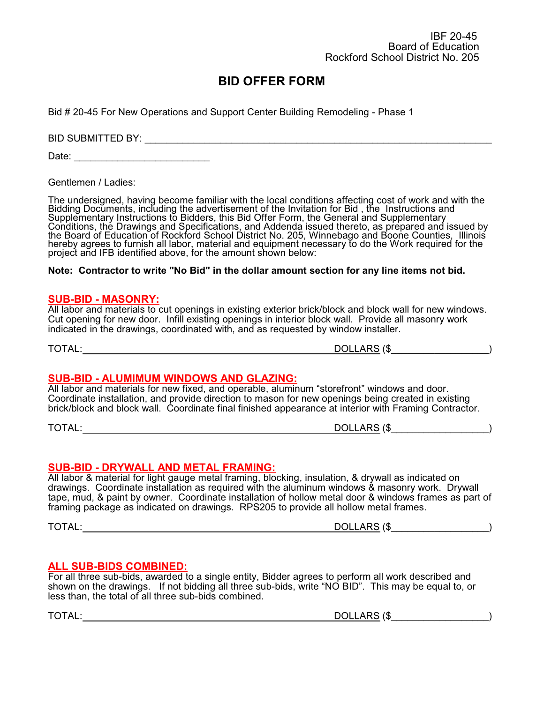Bid # 20-45 For New Operations and Support Center Building Remodeling - Phase 1

BID SUBMITTED BY: \_\_\_\_\_\_\_\_\_\_\_\_\_\_\_\_\_\_\_\_\_\_\_\_\_\_\_\_\_\_\_\_\_\_\_\_\_\_\_\_\_\_\_\_\_\_\_\_\_\_\_\_\_\_\_\_\_\_\_\_\_\_\_\_

Date: \_\_\_\_\_\_\_\_\_\_\_\_\_\_\_\_\_\_\_\_\_\_\_\_\_

Gentlemen / Ladies:

The undersigned, having become familiar with the local conditions affecting cost of work and with the Bidding Documents, including the advertisement of the Invitation for Bid , the Instructions and Supplementary Instructions to Bidders, this Bid Offer Form, the General and Supplementary Conditions, the Drawings and Specifications, and Addenda issued thereto, as prepared and issued by the Board of Education of Rockford School District No. 205, Winnebago and Boone Counties, Illinois hereby agrees to furnish all labor, material and equipment necessary to do the Work required for the project and IFB identified above, for the amount shown below:

#### **Note: Contractor to write "No Bid" in the dollar amount section for any line items not bid.**

#### **SUB-BID - MASONRY:**

All labor and materials to cut openings in existing exterior brick/block and block wall for new windows. Cut opening for new door. Infill existing openings in interior block wall. Provide all masonry work indicated in the drawings, coordinated with, and as requested by window installer.

TOTAL: DOLLARS (\$\_\_\_\_\_\_\_\_\_\_\_\_\_\_\_\_\_\_)

#### **SUB-BID - ALUMIMUM WINDOWS AND GLAZING:**

All labor and materials for new fixed, and operable, aluminum "storefront" windows and door. Coordinate installation, and provide direction to mason for new openings being created in existing brick/block and block wall. Coordinate final finished appearance at interior with Framing Contractor.

TOTAL: DOLLARS (\$\_\_\_\_\_\_\_\_\_\_\_\_\_\_\_\_\_\_)

#### **SUB-BID - DRYWALL AND METAL FRAMING:**

All labor & material for light gauge metal framing, blocking, insulation, & drywall as indicated on drawings. Coordinate installation as required with the aluminum windows & masonry work. Drywall tape, mud, & paint by owner. Coordinate installation of hollow metal door & windows frames as part of framing package as indicated on drawings. RPS205 to provide all hollow metal frames.

TOTAL: DOLLARS (\$\_\_\_\_\_\_\_\_\_\_\_\_\_\_\_\_\_\_)

#### **ALL SUB-BIDS COMBINED:**

For all three sub-bids, awarded to a single entity, Bidder agrees to perform all work described and shown on the drawings. If not bidding all three sub-bids, write "NO BID". This may be equal to, or less than, the total of all three sub-bids combined.

| TOTAL. | . ADO<br>$\sqrt{2}$<br>DOLI<br>' ≀UL∟<br>ת ו<br>ANU. |
|--------|------------------------------------------------------|
|        |                                                      |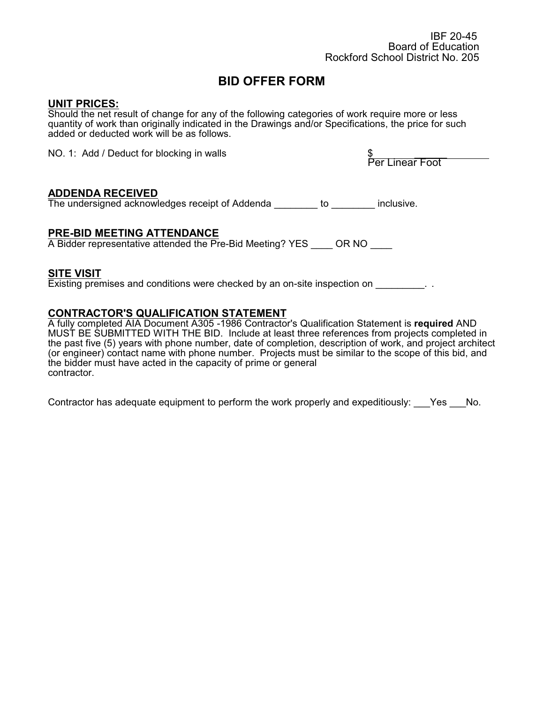### **UNIT PRICES:**

Should the net result of change for any of the following categories of work require more or less quantity of work than originally indicated in the Drawings and/or Specifications, the price for such added or deducted work will be as follows.

NO. 1: Add / Deduct for blocking in walls

\$<br>Per Linear Foot

#### **ADDENDA RECEIVED**

The undersigned acknowledges receipt of Addenda \_\_\_\_\_\_\_\_ to \_\_\_\_\_\_\_\_ inclusive.

#### **PRE-BID MEETING ATTENDANCE**

A Bidder representative attended the Pre-Bid Meeting? YES OR NO

#### **SITE VISIT**

Existing premises and conditions were checked by an on-site inspection on \_\_\_\_\_\_\_\_\_.

#### **CONTRACTOR'S QUALIFICATION STATEMENT**

A fully completed AIA Document A305 -1986 Contractor's Qualification Statement is **required** AND MUST BE SUBMITTED WITH THE BID. Include at least three references from projects completed in the past five (5) years with phone number, date of completion, description of work, and project architect (or engineer) contact name with phone number. Projects must be similar to the scope of this bid, and the bidder must have acted in the capacity of prime or general contractor.

Contractor has adequate equipment to perform the work properly and expeditiously: Yes No.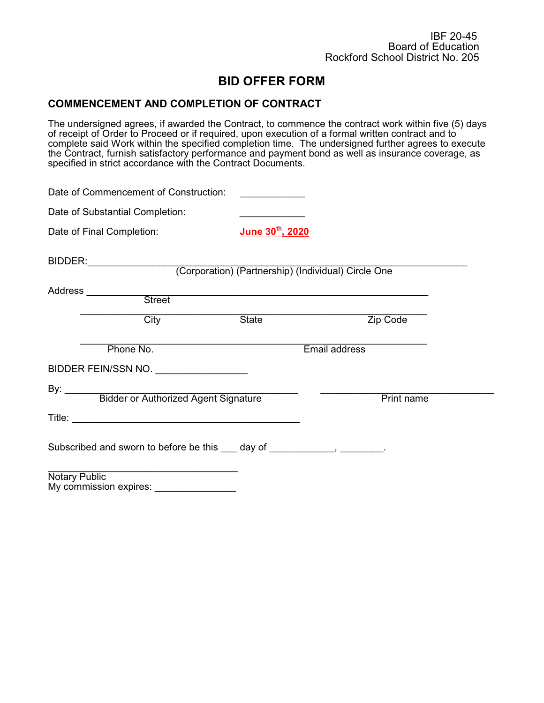#### **COMMENCEMENT AND COMPLETION OF CONTRACT**

The undersigned agrees, if awarded the Contract, to commence the contract work within five (5) days of receipt of Order to Proceed or if required, upon execution of a formal written contract and to complete said Work within the specified completion time. The undersigned further agrees to execute the Contract, furnish satisfactory performance and payment bond as well as insurance coverage, as specified in strict accordance with the Contract Documents.

| Date of Commencement of Construction:                                                                                     |                                                                                                                       |            |
|---------------------------------------------------------------------------------------------------------------------------|-----------------------------------------------------------------------------------------------------------------------|------------|
| Date of Substantial Completion:                                                                                           |                                                                                                                       |            |
| Date of Final Completion:                                                                                                 | June 30 <sup>th</sup> , 2020                                                                                          |            |
|                                                                                                                           | (Corporation) (Partnership) (Individual) Circle One                                                                   |            |
| Address __________<br>Street                                                                                              | <u> 1989 - Johann Harry Harry Harry Harry Harry Harry Harry Harry Harry Harry Harry Harry Harry Harry Harry Harry</u> |            |
|                                                                                                                           |                                                                                                                       |            |
| City                                                                                                                      | State                                                                                                                 | Zip Code   |
| Phone No.                                                                                                                 | Email address                                                                                                         |            |
| BIDDER FEIN/SSN NO.                                                                                                       |                                                                                                                       |            |
|                                                                                                                           |                                                                                                                       |            |
| By: Bidder or Authorized Agent Signature                                                                                  |                                                                                                                       | Print name |
|                                                                                                                           |                                                                                                                       |            |
| Subscribed and sworn to before be this 100 day of 200 manuscribed and sworn to before be this 100 day of 200 manuscribed. |                                                                                                                       |            |
| <b>Notary Public</b><br>My commission expires: ________________                                                           |                                                                                                                       |            |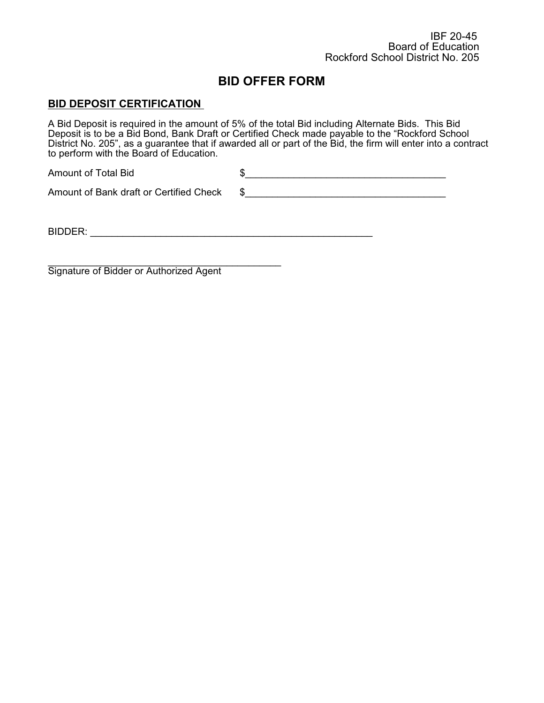### **BID DEPOSIT CERTIFICATION**

A Bid Deposit is required in the amount of 5% of the total Bid including Alternate Bids. This Bid Deposit is to be a Bid Bond, Bank Draft or Certified Check made payable to the "Rockford School District No. 205", as a guarantee that if awarded all or part of the Bid, the firm will enter into a contract to perform with the Board of Education.

Amount of Total Bid  $$$ Amount of Bank draft or Certified Check  $$$ 

BIDDER: \_\_\_\_\_\_\_\_\_\_\_\_\_\_\_\_\_\_\_\_\_\_\_\_\_\_\_\_\_\_\_\_\_\_\_\_\_\_\_\_\_\_\_\_\_\_\_\_\_\_\_\_

 $\frac{1}{2}$  , and the set of the set of the set of the set of the set of the set of the set of the set of the set of the set of the set of the set of the set of the set of the set of the set of the set of the set of the set Signature of Bidder or Authorized Agent